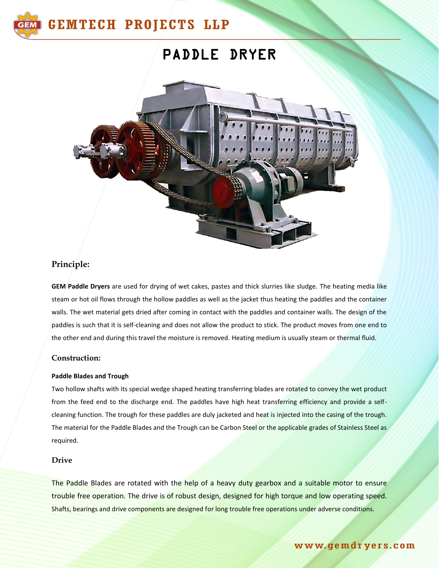

# PADDLE DRYER



# **Principle:**

**GEM Paddle Dryers** are used for drying of wet cakes, pastes and thick slurries like sludge. The heating media like steam or hot oil flows through the hollow paddles as well as the jacket thus heating the paddles and the container walls. The wet material gets dried after coming in contact with the paddles and container walls. The design of the paddles is such that it is self-cleaning and does not allow the product to stick. The product moves from one end to the other end and during this travel the moisture is removed. Heating medium is usually steam or thermal fluid.

#### **Construction:**

#### **Paddle Blades and Trough**

Two hollow shafts with its special wedge shaped heating transferring blades are rotated to convey the wet product from the feed end to the discharge end. The paddles have high heat transferring efficiency and provide a selfcleaning function. The trough for these paddles are duly jacketed and heat is injected into the casing of the trough. The material for the Paddle Blades and the Trough can be Carbon Steel or the applicable grades of Stainless Steel as required.

#### **Drive**

The Paddle Blades are rotated with the help of a heavy duty gearbox and a suitable motor to ensure trouble free operation. The drive is of robust design, designed for high torque and low operating speed. Shafts, bearings and drive components are designed for long trouble free operations under adverse conditions.